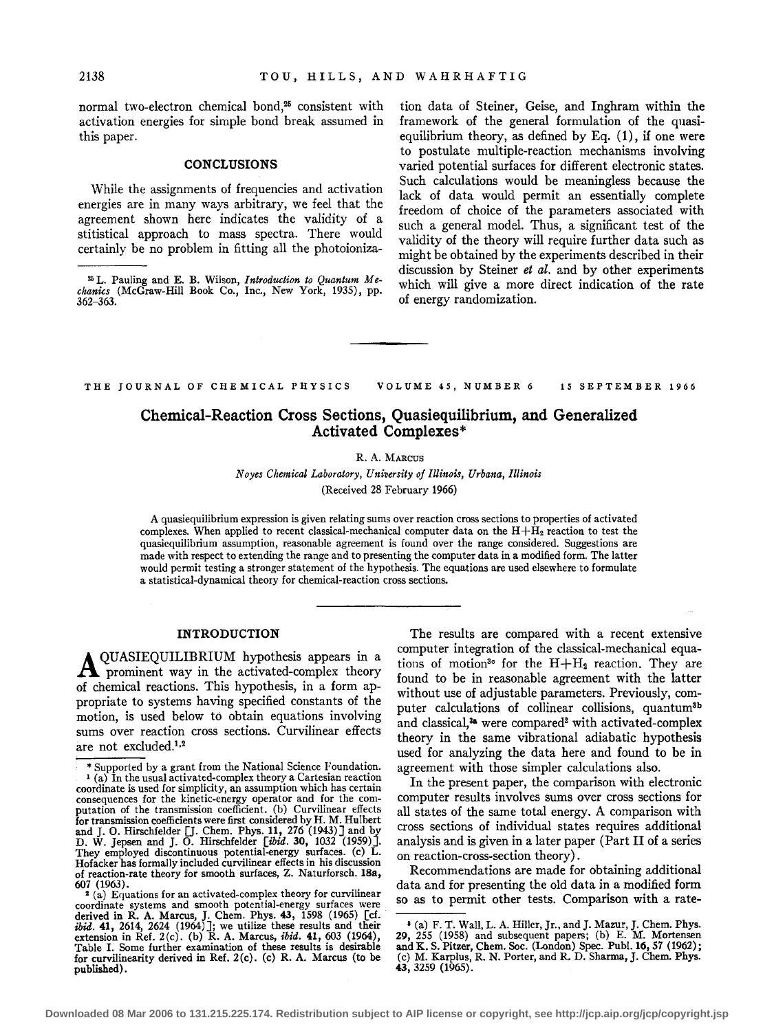normal two-electron chemical bond,<sup>25</sup> consistent with activation energies for simple bond break assumed in this paper.

# **CONCLUSIONS**

While the assignments of frequencies and activation energies are in many ways arbitrary, we feel that the agreement shown here indicates the validity of a stitistical approach to mass spectra. There would certainly be no problem in fitting all the photoioniza-

tion data of Steiner, Geise, and Inghram within the framework of the general formulation of the quasiequilibrium theory, as defined by Eq.  $(1)$ , if one were to postulate multiple-reaction mechanisms involving varied potential surfaces for different electronic states. Such calculations would be meaningless because the lack of data would permit an essentially complete freedom of choice of the parameters associated with such a general model. Thus, a significant test of the validity of the theory will require further data such as might be obtained by the experiments described in their discussion by Steiner *et al.* and by other experiments which will give a more direct indication of the rate of energy randomization.

THE JOURNAL OF CHEMICAL PHYSICS VOLUME 45, NUMBER 6 15 SEPTEMBER 1966

# Chemical-Reaction Cross Sections, Quasiequilibrium, and Generalized Activated Complexes\*

# R. A. MARCUS

*Noyes Chemical Laboratory, University of Illinois, Urbana, Illinois*  (Received 28 February 1966)

A quasiequilibrium expression is given relating sums over reaction cross sections to properties of activated complexes. When applied to recent classical-mechanical computer data on the  $H+\bar{H}_2$  reaction to test the quasiequilibrium assumption, reasonable agreement is found over the range considered. Suggestions are made with respect to extending the range and to presenting the computer data in a modified form. The latter would permit testing a stronger statement of the hypothesis. The equations are used elsewhere to formulate a statistical-dynamical theory for chemical-reaction cross sections.

# INTRODUCTION

AQUASIEQUILIBRIUM hypothesis appears in a prominent way in the activated-complex theory of chemical reactions. This hypothesis, in a form appropriate to systems having specified constants of the motion, is used below to obtain equations involving sums over reaction cross sections. Curvilinear effects are not excluded.<sup>1,2</sup>

The results are compared with a recent extensive computer integration of the classical-mechanical equations of motion<sup>30</sup> for the  $H + H_2$  reaction. They are found to be in reasonable agreement with the latter without use of adjustable parameters. Previously, computer calculations of collinear collisions, quantum3b and classical,<sup>38</sup> were compared<sup>2</sup> with activated-complex theory in the same vibrational adiabatic hypothesis used for analyzing the data here and found to be in agreement with those simpler calculations also.

In the present paper, the comparison with electronic computer results involves sums over cross sections for all states of the same total energy. A comparison with cross sections of individual states requires additional analysis and is given in a later paper (Part II of a series on reaction-cross-section theory) .

Recommendations are made for obtaining additional data and for presenting the old data in a modified form so as to permit other tests. Comparison with a rate-

<sup>25</sup> L. Pauling and E. B. Wilson, *Introduction to Quantum Mechanics* (McGraw-Hill Book Co., Inc., New York, 1935), pp. 362-363.

<sup>\*</sup>Supported by a grant from the National Science Foundation. 1 (a) In the usual activated-complex theory a Cartesian reaction coordinate is used for simplicity, an assumption which has certain consequences for the kinetic-energy operator and for the com- putation of the transmission coefficient. (b) Curvilinear effects for transmission coefficients were first considered by H. M. Hulbert<br>and J. O. Hirschfelder [J. Chem. Phys. 11, 276 (1943)] and by<br>D. W. Jepsen and J. O. Hirschfelder [*ibid*. 30, 1032 (1959)]. They employed discontinuous potential-energy surfaces. (c) L. Hofacker has formally included curvilinear effects in his discussion of reaction-rate theory for smooth surfaces, Z. Naturforsch. 18a,

<sup>&</sup>lt;sup>2</sup> (a) Equations for an activated-complex theory for curvilinear coordinate systems and smooth potential-energy surfaces were<br>derived in R. A. Marcus, J. Chem. Phys. 43, 1598 (1965) [cf.<br> $ibiid.$  41, 2614, 2624 (1964)]; we utilize these results and their<br>extension in Ref. 2(c). (b) R. A. for curvilinearity derived in Ref. 2(c). (c) R. A. Marcus (to be published).

a (a) F. T. Wall, L.A. Hiller, Jr., and J. Mazur, J. Chern. Phys. 29, 255 (1958) and subsequent papers; (b) E. M. Mortensen and K. S. Pitzer, Chem. Soc. (London) Spec. Publ. 16, 57 (1962); (c) M. Karplus, R. N. Porter, and R. D. Sharma, J. Chem. Phys. 43, 3259 (1965) 0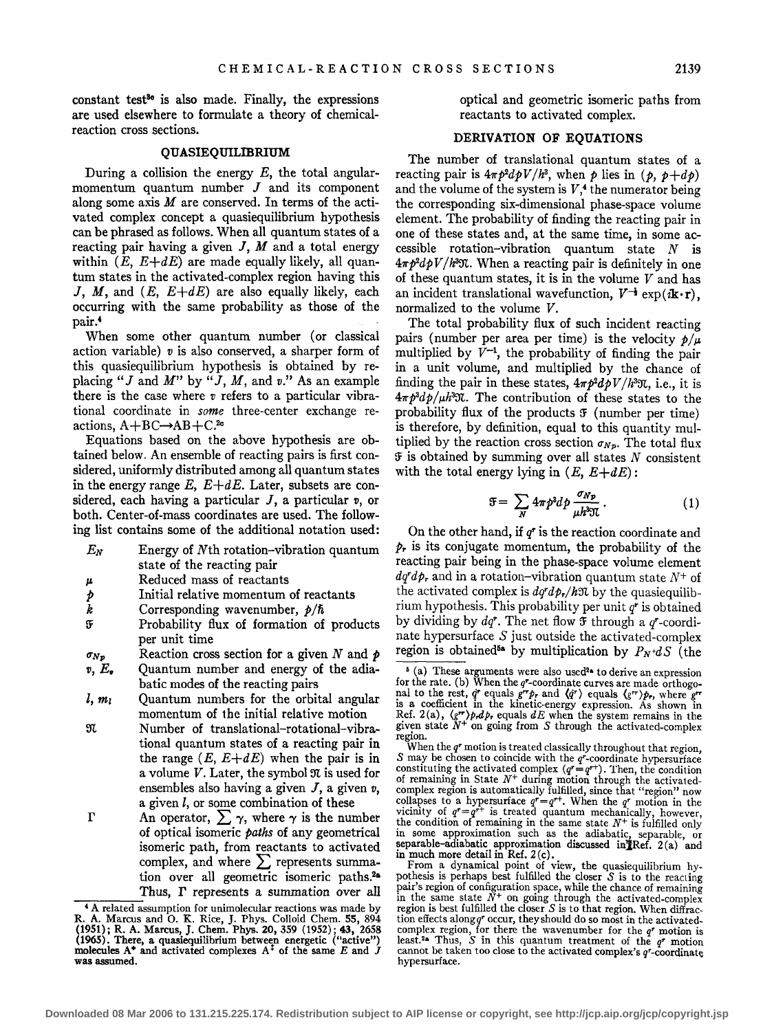constant test<sup>30</sup> is also made. Finally, the expressions are used elsewhere to formulate a theory of chemicalreaction cross sections.

# QUASIEQUILIBRIUM

During a collision the energy  $E$ , the total angularmomentum quantum number  $J$  and its component along some axis *M* are conserved. In terms of the activated complex concept a quasiequilibrium hypothesis can be phrased as follows. When all quantum states of a reacting pair having a given J, *M* and a total energy within  $(E, E+dE)$  are made equally likely, all quantum states in the activated-complex region having this J, M, and *(E, E+dE)* are also equally likely, each occurring with the same probability as those of the pair.<sup>4</sup>

When some other quantum number (or classical action variable)  $v$  is also conserved, a sharper form of this quasiequilibrium hypothesis is obtained by replacing " $J$  and  $M$ " by " $J$ ,  $M$ , and  $v$ ." As an example there is the case where *v* refers to a particular vibrational coordinate in *some* three-center exchange reactions,  $A + BC \rightarrow AB + C.^{2c}$ 

Equations based on the above hypothesis are obtained below. An ensemble of reacting pairs is first considered, uniformly distributed among all quantum states in the energy range  $E, E+dE$ . Later, subsets are considered, each having a particular J, a particular *v,* or both. Center-of-mass coordinates are used. The following list contains some of the additional notation used:

- $E_N$  Energy of Nth rotation-vibration quantum state of the reacting pair
- *p.*  Reduced mass of reactants
- *p*  Initial relative momentum of reactants
- *k*  Corresponding wavenumber,  $p/\hbar$
- $\mathfrak F$ Probability flux of formation of products per unit time
- $\sigma_{Np}$ Reaction cross section for a given *N* and p
- $v, E_{\nu}$ Quantum number and energy of the adiabatic modes of the reacting pairs
- $l, m<sub>l</sub>$ Quantum numbers for the orbital angular momentum of the initial relative motion
- $\mathfrak{N}$ Number of translational-rotational-vibrational quantum states of a reacting pair in the range  $(E, E+dE)$  when the pair is in a volume V. Later, the symbol  $\mathfrak{N}$  is used for ensembles also having a given  $J$ , a given  $v$ , a given  $l$ , or some combination of these
- r An operator,  $\sum \gamma$ , where  $\gamma$  is the number of optical isomeric *paths* of any geometrical isomeric path, from reactants to activated complex, and where  $\sum$  represents summation over all geometric isomeric paths.<sup>2a</sup> Thus,  $\Gamma$  represents a summation over all  $\overline{ }$ . A related assumption for unimolecular reactions was made by

optical and geometric isomeric paths from reactants to activated complex.

# DERIVATION OF EQUATIONS

The number of translational quantum states of a reacting pair is  $4\pi p^2 d pV/h^3$ , when p lies in  $(p, p+d p)$ and the volume of the system is  $V<sub>1</sub><sup>4</sup>$  the numerator being the corresponding six-dimensional phase-space volume element. The probability of finding the reacting pair in one of these states and, at the same time, in some accessible rotation-vibration quantum state *N* is *41rp2dp V /ham.* When a reacting pair is definitely in one of these quantum states, it is in the volume  $V$  and has an incident translational wavefunction,  $V^{-\frac{1}{2}} \exp(i \mathbf{k} \cdot \mathbf{r})$ , normalized to the volume V.

The total probability flux of such incident reacting pairs (number per area per time) is the velocity  $p/\mu$ multiplied by  $\bar{V}^{-1}$ , the probability of finding the pair in a unit volume, and multiplied by the chance of finding the pair in these states,  $4\pi p^2 dp V/h^3 \mathfrak{N}$ , i.e., it is *47rp3 dpjp.ham.* The contribution of these states to the probability flux of the products  $\mathfrak F$  (number per time) is therefore, by definition, equal to this quantity multiplied by the reaction cross section  $\sigma_{N_p}$ . The total flux  $F$  is obtained by summing over all states N consistent with the total energy lying in  $(E, E+dE)$ :

$$
\mathfrak{F} = \sum_{N} 4\pi p^3 d p \frac{\sigma_{Np}}{\mu h^3 \mathfrak{N}} \,. \tag{1}
$$

On the other hand, if *q•* is the reaction coordinate and  $p<sub>r</sub>$  is its conjugate momentum, the probability of the reacting pair being in the phase-space volume element  $dq^r d\phi_r$  and in a rotation-vibration quantum state  $N^+$  of the activated complex is  $dq^r d\phi_r / h \mathfrak{N}$  by the quasiequilibrium hypothesis. This probability per unit *q•* is obtained by dividing by  $dq^r$ . The net flow  $\mathfrak F$  through a  $q^r$ -coordinate hypersurface  $S$  just outside the activated-complex region is obtained<sup>54</sup> by multiplication by  $P_N + dS$  (the

R. A. Marcus and O. K. Rice, J. Phys. Colloid Chem. 55, 894 (1951); R. A. Marcus, J. Chem. Phys. 20, 359 (1952); 43, 2658 (1963). There, a quasiequilibrium between energetic ("active") molecules  $A^*$  and activated comple

 $6$  (a) These arguments were also used<sup>2a</sup> to derive an expression for the rate. (b) When the  $q^2$ -coordinate curves are made orthogonal to the rest,  $\dot{q}^r$  equals  $g^{rr}$  $p_r$  and  $\langle \dot{q}^r \rangle$  equals  $\langle g^{rr} \rangle p_r$ , where  $g^{rr}$  is a coefficient in the kinetic-energy expression. As shown in Ref. 2(a),  $\langle g^{rr} \rangle p_r d p_r$  equals  $dE$  when the system remain given state  $N^+$  on going from S through the activated-complex region.

When the *q•* motion is treated classically throughout that region, *S* may be chosen to coincide with the  $q$ <sup>-</sup>-coordinate hypersurface constituting the activated complex  $(q^r = q^{r+})$ . Then, the condition of remaining in State  $N^+$  during motion through the activatedcomplex region is automatically fulfilled, since that "region" now collapses to a hypersurface  $q^r = q^{r+}$ . When the  $q^r$  motion in the vicinity of  $q^r = q^{r+}$  is treated quantum mechanically, however, the condition of remaining in the same state  $N^+$  is fulfilled only in some approximation such as the adiabatic, separable, or separable-adiabatic approximation discussed in]Ref. 2 (a) and in much more detail in Ref. 2(c).

From a dynamical point of view, the quasiequilibrium hy-pothesis is perhaps best fulfilled the closer S is to the reacting pair's region of configuration space, while the chance of remaining<br>in the same state  $N^+$  on going through the activated-complex region is best fulfilled the closer *S* is to that region. When diffraction effects along  $q^r$  occur, they should do so most in the activatedcomplex region, for there the wavenumber for the  $q^r$  motion is least.<sup>2</sup><sup>a</sup> Thus, *S* in this quantum treatment of the  $q^r$  motion cannot be taken too close to the activated complex's  $q^r$ -coordinate hypersurface.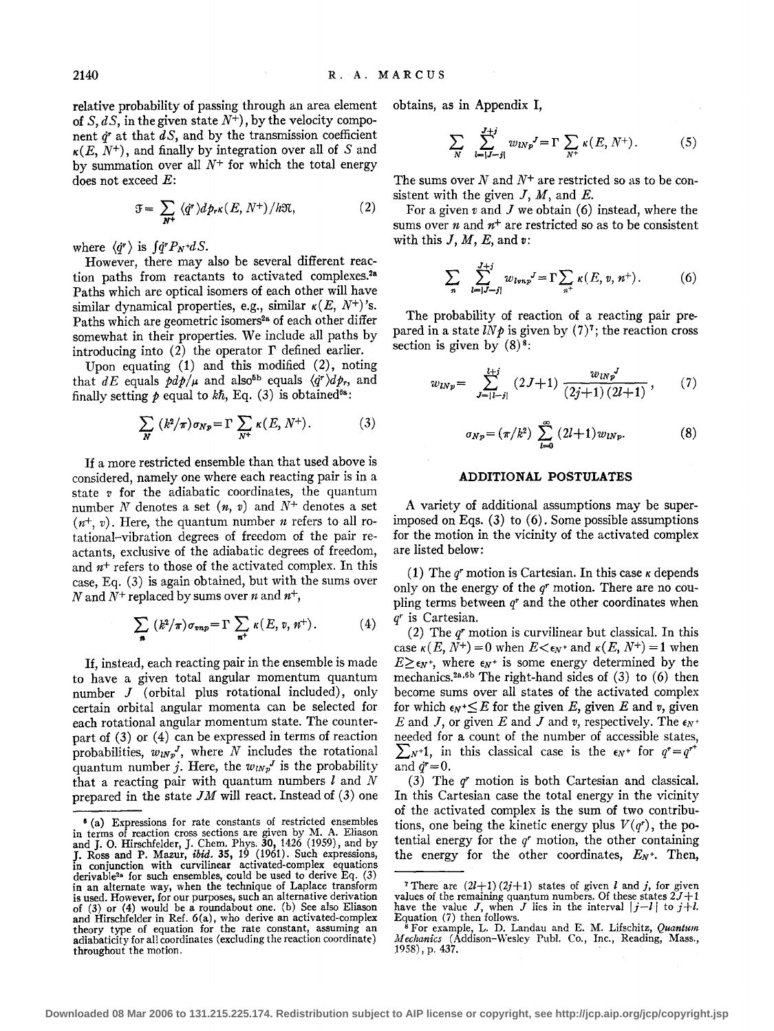relative probability of passing through an area element of S, dS, in the given state  $N^+$ ), by the velocity component  $\dot{q}$  at that  $dS$ , and by the transmission coefficient  $\kappa(E, N^+)$ , and finally by integration over all of S and by summation over all  $N^+$  for which the total energy does not exceed  $E$ :

$$
\mathfrak{F} = \sum_{N^+} \langle \dot{q}^r \rangle d p_r \kappa(E, N^+) / h \mathfrak{N}, \tag{2}
$$

where  $\langle \dot{q}^r \rangle$  is  $\int \dot{q}^r P_N + dS$ .

However, there may also be several different reaction paths from reactants to activated complexes.<sup>2a</sup> Paths which are optical isomers of each other will have similar dynamical properties, e.g., similar  $\kappa(E, N^+)$ 's. Paths which are geometric isomers<sup>2a</sup> of each other differ somewhat in their properties. We include all paths by introducing into  $(2)$  the operator  $\Gamma$  defined earlier.

Upon equating (1) and this modified (2), noting that dE equals  $pdp/\mu$  and also<sup>5b</sup> equals  $\langle \dot{q}^r \rangle dp_r$ , and finally setting  $p$  equal to  $k\hbar$ , Eq. (3) is obtained<sup>6a</sup>:

$$
\sum_{N} (k^{2}/\pi)\sigma_{Np} = \Gamma \sum_{N^{+}} \kappa(E, N^{+}). \qquad (3)
$$

If a more restricted ensemble than that used above is considered, namely one where each reacting pair is in a state *v* for the adiabatic coordinates, the quantum number N denotes a set  $(n, v)$  and  $N^+$  denotes a set  $(n^{+}, v)$ . Here, the quantum number *n* refers to all rotational-vibration degrees of freedom of the pair reactants, exclusive of the adiabatic degrees of freedom, and  $n^{+}$  refers to those of the activated complex. In this case, Eq. (3) is again obtained, but with the sums over N and  $N^+$  replaced by sums over n and  $n^+,$ 

$$
\sum_{\mathbf{n}} (k^2/\pi) \sigma_{vnp} = \Gamma \sum_{\mathbf{n}^+} \kappa(E, v, n^+). \tag{4}
$$

If, instead, each reacting pair in the ensemble is made to have a given total angular momentum quantum number J (orbital plus rotational included), only certain orbital angular momenta can be selected for each rotational angular momentum state. The counterpart of (3) or (4) can be expressed in terms of reaction probabilities,  $w_{lNp}$ <sup>J</sup>, where N includes the rotational quantum number j. Here, the  $w_{lNp}$  is the probability that a reacting pair with quantum numbers *l* and *N*  prepared in the state  $JM$  will react. Instead of  $(3)$  one obtains, as in Appendix I,

$$
\sum_{N} \sum_{l=|J-j|}^{J+j} w_{lNp}^{J} = \Gamma \sum_{N^{+}} \kappa(E, N^{+}). \tag{5}
$$

The sums over  $N$  and  $N^+$  are restricted so as to be consistent with the given  $J, M$ , and  $E$ .

For a given  $v$  and  $J$  we obtain (6) instead, where the sums over *n* and  $n^+$  are restricted so as to be consistent with this  $J, M, E$ , and  $v$ :

$$
\sum_{n} \sum_{l=|J-j|}^{J+j} w_{lmp}^{J} = \Gamma \sum_{n^{+}} \kappa(E, v, n^{+}). \tag{6}
$$

The probability of reaction of a reacting pair prepared in a state  $l N \rho$  is given by (7)<sup>7</sup>; the reaction cross section is given by  $(8)^8$ :

$$
w_{lNp} = \sum_{J=|l-j|}^{l+j} (2J+1) \frac{w_{lNp}^J}{(2j+1)(2l+1)}, \qquad (7)
$$

$$
\sigma_{Np} = (\pi/k^2) \sum_{l=0}^{\infty} (2l+1) w_{lNp}.
$$
 (8)

# **ADDITIONAL POSTULATES**

A variety of additional assumptions may be superimposed on Eqs.  $(3)$  to  $(6)$ . Some possible assumptions for the motion in the vicinity of the activated complex are listed below:

(1) The  $q<sup>r</sup>$  motion is Cartesian. In this case  $\kappa$  depends only on the energy of the *qr* motion. There are no coupling terms between *qr* and the other coordinates when *qr* is Cartesian.

(2) The *qr* motion is curvilinear but classical. In this case  $\kappa(E, N^+) = 0$  when  $E < \epsilon_N$  and  $\kappa(E, N^+) = 1$  when  $E\geq \epsilon_N^*$ , where  $\epsilon_N^*$  is some energy determined by the mechanics.<sup>2a,6b</sup> The right-hand sides of  $(3)$  to  $(6)$  then become sums over all states of the activated complex for which  $\epsilon_N + \leq E$  for the given E, given E and *v*, given *E* and *J*, or given *E* and *J* and *v*, respectively. The  $\epsilon_N$ + needed for a count of the number of accessible states,  $\sum_{N+1}$ , in this classical case is the  $\epsilon_N$ <sup>+</sup> for  $q^r = q^{r^+}$ and  $\dot{q}^r=0$ .

(3) The *qr* motion is both Cartesian and classical. In this Cartesian case the total energy in the vicinity of the activated complex is the sum of two contributions, one being the kinetic energy plus  $V(q<sup>r</sup>)$ , the potential energy for the *qr* motion, the other containing the energy for the other coordinates,  $E_N$ <sup>+</sup>. Then,

<sup>• (</sup>a) Expressions for rate constants of restricted ensembles in terms of reaction cross sections are given by M. A. Eliason and J. 0. Hirschfelder, J. Chern. Phys. 30, 1426 (1959), and by J. Ross and P. Mazur, *ibid.* 35, 19 (1961). Such expressions, in conjunction with curvilinear activated-complex equations derivable<sup>28</sup> for such ensembles, could be used to derive Eq.  $(3)$ in an alternate way, when the technique of Laplace transform is used. However, for our purposes, such an alternative derivation of (3) or (4) would be a roundabout one. (b) See also Eliason and Hirschfelder in Ref. 6(a), who derive an activated-complex theory type of equation for the rate constant, assuming an adiabaticity for all coordinates (excluding the reaction coordinate) throughout the motion.

<sup>&</sup>lt;sup>7</sup> There are  $(2l+1)(2j+1)$  states of given *l* and *j*, for given values of the remaining quantum numbers. Of these states *2J+1*  have the value J, when J lies in the interval  $|j-l|$  to  $j+l$ .<br>Equation (7) then follows.

 $^8$  For example, L. D. Landau and E. M. Lifschitz, *Quantum* Mechanics (Addison-Wesley Publ. Co., Inc., Reading, Mass., 1958), p. 437.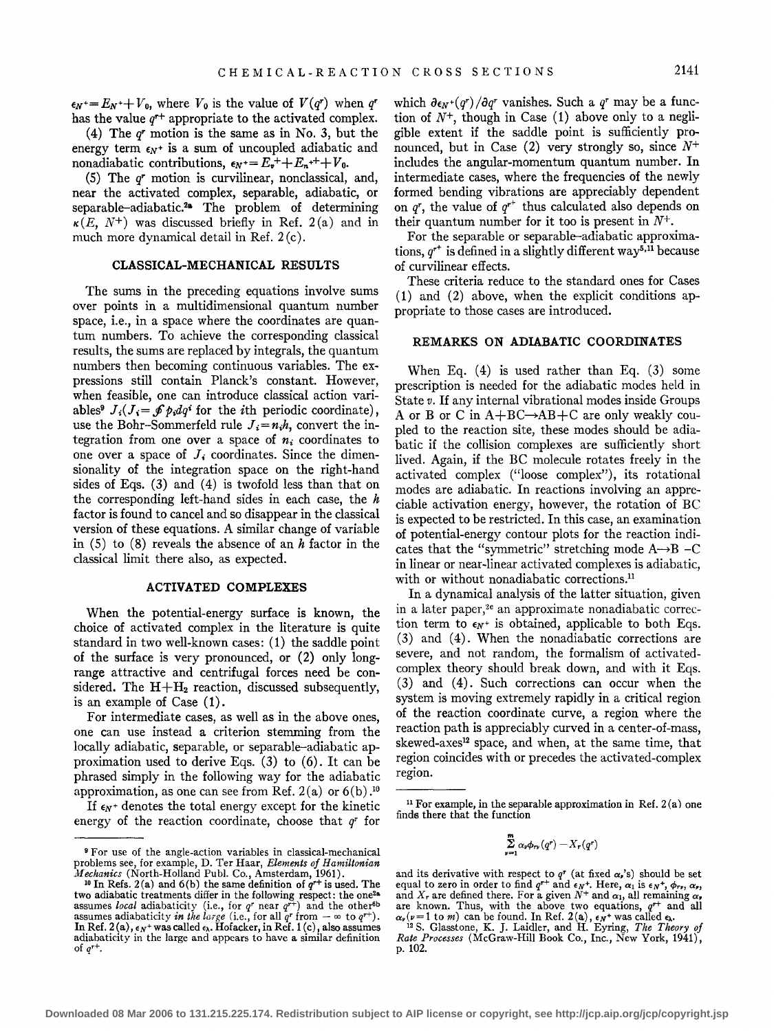$\epsilon_N = E_N + V_0$ , where  $V_0$  is the value of  $V(q^r)$  when  $q^r$ has the value  $q^{r+}$  appropriate to the activated complex.

(4) The *q•* motion is the same as in No. 3, but the energy term  $\epsilon_N$ <sup>+</sup> is a sum of uncoupled adiabatic and nonadiabatic contributions,  $\epsilon_N = E_r + E_n + +V_0$ .

(5) The *q•* motion is curvilinear, nonclassical, and, near the activated complex, separable, adiabatic, or separable-adiabatic.2 • The problem of determining  $\kappa(E, N^+)$  was discussed briefly in Ref. 2(a) and in much more dynamical detail in Ref. 2 (c).

#### **CLASSICAL-MECHANICAL RESULTS**

The sums in the preceding equations involve sums over points in a multidimensional quantum number space, i.e., in a space where the coordinates are quantum numbers. To achieve the corresponding classical results, the sums are replaced by integrals, the quantum numbers then becoming continuous variables. The expressions still contain Planck's constant. However, when feasible, one can introduce classical action variables<sup>9</sup>  $J_i(J_i = \oint p_i dq^i$  for the *i*th periodic coordinate), use the Bohr-Sommerfeld rule  $J_i=n_ih$ , convert the integration from one over a space of  $n_i$  coordinates to one over a space of  $J_i$  coordinates. Since the dimensionality of the integration space on the right-hand sides of Eqs. (3) and (4) is twofold less than that on the corresponding left-hand sides in each case, the *h*  factor is found to cancel and so disappear in the classical version of these equations. A similar change of variable in (5) to (8) reveals the absence of an *h* factor in the classical limit there also, as expected.

#### **ACTIVATED COMPLEXES**

When the potential-energy surface is known, the choice of activated complex in the literature is quite standard in two well-known cases: **(1)** the saddle point of the surface is very pronounced, or (2) only longrange attractive and centrifugal forces need be considered. The  $H + H_2$  reaction, discussed subsequently, is an example of Case  $(1)$ .

For intermediate cases, as well as in the above ones, one can use instead a criterion stemming from the locally adiabatic, separable, or separable-adiabatic approximation used to derive Eqs.  $(3)$  to  $(6)$ . It can be phrased simply in the following way for the adiabatic approximation, as one can see from Ref.  $2(a)$  or  $6(b)$ .<sup>10</sup>

If  $\epsilon_N$ <sup>+</sup> denotes the total energy except for the kinetic energy of the reaction coordinate, choose that *q•* for

which  $\partial \epsilon_N$ + $(q^r)/\partial q^r$  vanishes. Such a  $q^r$  may be a function of *N+,* though in Case (1) above only to a negligible extent if the saddle point is sufficiently pronounced, but in Case  $(2)$  very strongly so, since  $N^+$ includes the angular-momentum quantum number. In intermediate cases, where the frequencies of the newly formed bending vibrations are appreciably dependent on  $q^r$ , the value of  $q^{r^+}$  thus calculated also depends on their quantum number for it too is present in  $N^+$ .

For the separable or separable-adiabatic approximations,  $q^{r^+}$  is defined in a slightly different way<sup>5,11</sup> because of curvilinear effects.

These criteria reduce to the standard ones for Cases (1) and (2) above, when the explicit conditions appropriate to those cases are introduced.

# **REMARKS ON ADIABATIC COORDINATES**

When Eq. (4) is used rather than Eq. (3) some prescription is needed for the adiabatic modes held in State *v.* If any internal vibrational modes inside Groups A or B or C in  $A + BC \rightarrow AB + C$  are only weakly coupled to the reaction site, these modes should be adiabatic if the collision complexes are sufficiently short lived. Again, if the BC molecule rotates freely in the activated complex ("loose complex"), its rotational modes are adiabatic. In reactions involving an appreciable activation energy, however, the rotation of BC is expected to be restricted. In this case, an examination of potential-energy contour plots for the reaction indicates that the "symmetric" stretching mode  $A \rightarrow B - C$ in linear or near-linear activated complexes is adiabatic, with or without nonadiabatic corrections.<sup>11</sup>

In a dynamical analysis of the latter situation, given in a later paper,<sup>2 $e$ </sup> an approximate nonadiabatic correction term to  $\epsilon_N$ <sup>+</sup> is obtained, applicable to both Eqs. (3) and (4). When the nonadiabatic corrections are severe, and not random, the formalism of activatedcomplex theory should break down, and with it Eqs. (3) and (4). Such corrections can occur when the system is moving extremely rapidly in a critical region of the reaction coordinate curve, a region where the reaction path is appreciably curved in a center-of-mass, skewed-axes<sup>12</sup> space, and when, at the same time, that region coincides with or precedes the activated-complex region.

$$
\sum_{\nu=1}^m \alpha_{\nu} \phi_{r\nu}(q^r) - X_r(q^r)
$$

<sup>9</sup> For use of the angle-action variables in classical-mechanical problems see, for example, D. Ter Haar, *Elements of Hamiltonian* 

*Mechanics* (North-Holland Publ. Co., Amsterdam, 1961). <sup>10</sup> In Refs. 2(a) and 6(b) the same definition of  $q^{++}$  is used. The two adiabatic treatments differ in the following respect: the one<sup>2</sup><sup>a</sup> assumes *local* adiabaticity (i.e., for  $q^r$  near  $q^{r+}$ ) and the other<sup>6b</sup> assumes adiabaticity *in the large* (i.e., for all  $q^r$  from  $-\infty$  to In Ref. 2(a),  $\epsilon_N$ + was called  $\epsilon_N$ . Hofacker, in Ref. 1(c), also assumes adiabaticity in the large and appears to have a similar definition of *qr+.* 

<sup>&</sup>lt;sup>11</sup> For example, in the separable approximation in Ref.  $2(a)$  one finds there that the function

and its derivative with respect to q<sup>r</sup> (at fixed  $\alpha$ ,'s) should be set<br>equal to zero in order to find  $q^{r+}$  and  $\epsilon_N$ +. Here,  $\alpha_1$  is  $\epsilon_N$ +,  $\phi_{rr}$ ,  $\alpha$ ,<br>and  $X_r$  are defined there. For a given  $N^+$  and  $\alpha_1$ ,

*Rate Processes* (McGraw-Hill Book Co., Inc., New York, 1941), p. 102.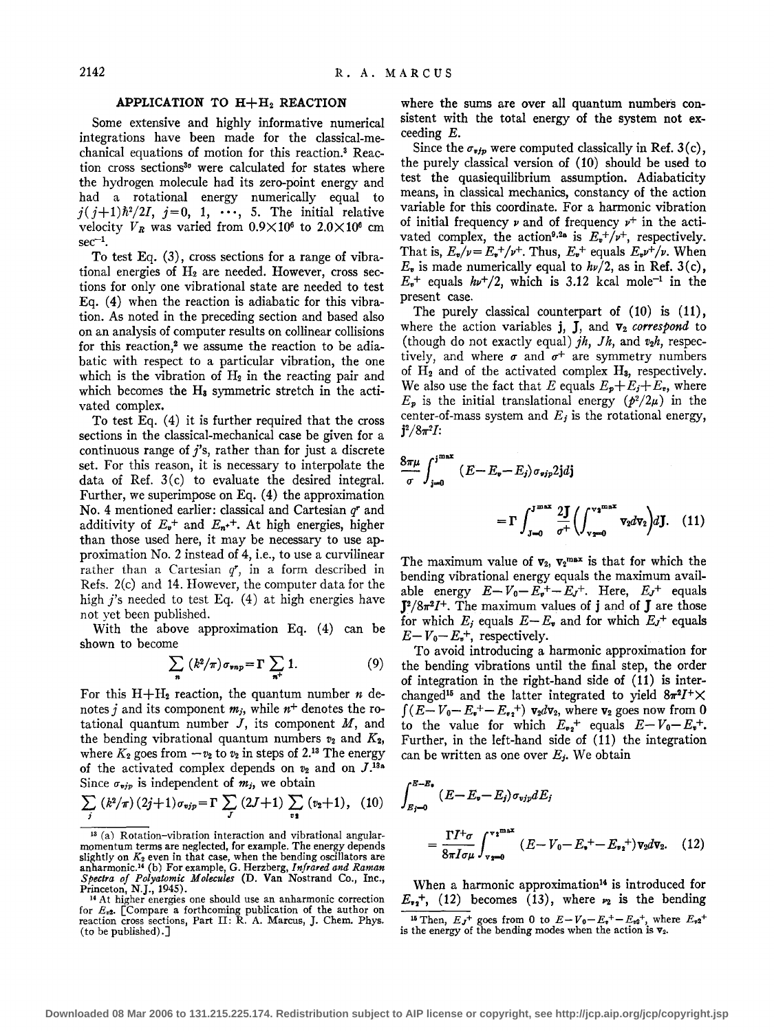## **APPLICATION** TO H+H2 **REACTION**

Some extensive and highly informative numerical integrations have been made for the classical-mechanical equations of motion for this reaction.3 Reaction cross sections<sup>30</sup> were calculated for states where the hydrogen molecule had its zero-point energy and had a rotational energy numerically equal to  $j(j+1)\hbar^2/2I, j=0, 1, \cdots, 5$ . The initial relative velocity  $V_R$  was varied from  $0.9 \times 10^6$  to  $2.0 \times 10^6$  cm  $sec^{-1}$ .

To test Eq. (3), cross sections for a range of vibrational energies of  $H_2$  are needed. However, cross sections for only one vibrational state are needed to test Eq. (4) when the reaction is adiabatic for this vibration. As noted in the preceding section and based also on an analysis of computer results on collinear collisions for this reaction,<sup>2</sup> we assume the reaction to be adiabatic with respect to a particular vibration, the one which is the vibration of  $H_2$  in the reacting pair and which becomes the  $H_8$  symmetric stretch in the activated complex.

To test Eq.  $(4)$  it is further required that the cross sections in the classical-mechanical case be given for a continuous range of *j's,* rather than for just a discrete set. For this reason, it is necessary to interpolate the data of Ref. 3(c) to evaluate the desired integral. Further, we superimpose on Eq. (4) the approximation No. 4 mentioned earlier: classical and Cartesian *qr* and additivity of  $E_{\nu}$ <sup>+</sup> and  $E_{n}$ <sup>++</sup>. At high energies, higher than those used here, it may be necessary to use approximation No.2 instead of 4, i.e., to use a curvilinear rather than a Cartesian *gr,* in a form described in Refs. 2(c) and 14. However, the computer data for the high  $j$ 's needed to test Eq. (4) at high energies have not yet been published.

With the above approximation Eq. (4) can be shown to become

$$
\sum_{n} (k^{2}/\pi)\sigma_{\text{emp}} = \Gamma \sum_{n^{+}} 1. \tag{9}
$$

For this  $H + H_2$  reaction, the quantum number *n* denotes j and its component  $m_j$ , while  $n^+$  denotes the rotational quantum number  $J$ , its component  $M$ , and the bending vibrational quantum numbers  $v_2$  and  $K_2$ , where  $K_2$  goes from  $-v_2$  to  $v_2$  in steps of 2.<sup>13</sup> The energy of the activated complex depends on  $v_2$  and on  $J$ .<sup>13a</sup> Since  $\sigma_{\textit{vir}}$  is independent of  $m_j$ , we obtain

$$
\sum_{j} (k^{2}/\pi) (2j+1) \sigma_{\text{vjp}} = \Gamma \sum_{J} (2J+1) \sum_{\text{vj}} (v_{2}+1), (10)
$$

where the sums are over all quantum numbers consistent with the total energy of the system not exceeding E.

Since the  $\sigma_{vfp}$  were computed classically in Ref. 3(c), the purely classical version of (10) should be used to test the quasiequilibrium assumption. Adiabaticity means, in classical mechanics, constancy of the action variable for this coordinate. For a harmonic vibration of initial frequency  $\nu$  and of frequency  $\nu^+$  in the activated complex, the action<sup>9,2a</sup> is  $E_v^+/\nu^+$ , respectively. That is,  $E_v/v = E_v^+ / v^+$ . Thus,  $E_v^+$  equals  $E_v v^+ / v$ . When  $E<sub>v</sub>$  is made numerically equal to  $h\nu/2$ , as in Ref. 3(c),  $E_r^+$  equals  $h\nu^+/2$ , which is 3.12 kcal mole<sup>-1</sup> in the present case.

The purely classical counterpart of (10) is (11), where the action variables  $\mathbf{j}$ ,  $\mathbf{J}$ , and  $\mathbf{v}_2$  *correspond* to (though do not exactly equal)  $jh$ ,  $Jh$ , and  $v_2h$ , respectively, and where  $\sigma$  and  $\sigma^+$  are symmetry numbers of  $H_2$  and of the activated complex  $H_3$ , respectively. We also use the fact that E equals  $E_p + E_j + E_r$ , where  $E_p$  is the initial translational energy  $(p^2/2\mu)$  in the center-of-mass system and *E;* is the rotational energy,  $j^2/8\pi^2I$ :

$$
\frac{8\pi\mu}{\sigma} \int_{j=0}^{j^{\max}} (E - E_{\mathbf{v}} - E_j) \sigma_{\text{vir}} 2\text{j} d\text{j}
$$
  
= 
$$
\Gamma \int_{J=0}^{J^{\max}} \frac{2\text{J}}{\sigma^+} \left( \int_{v_{\text{grav}}}^{v_{\text{2}}^{\max}} v_2 d\text{v}_2 \right) d\text{J}. \quad (11)
$$

The maximum value of  $v_2$ ,  $v_2^{\text{max}}$  is that for which the bending vibrational energy equals the maximum available energy  $E - V_0 - E_r^+ - E_J^+$ . Here,  $E_J^+$  equals  $J^2/8\pi^2I^+$ . The maximum values of **j** and of **J** are those for which  $E_i$  equals  $E-E_i$  and for which  $E_j$ <sup>+</sup> equals  $E - V_0 - E_*^+$ , respectively.

To avoid introducing a harmonic approximation for the bending vibrations until the final step, the order of integration in the right-hand side of **(11)** is interchanged<sup>15</sup> and the latter integrated to yield  $8\pi^2 I^+ \times$  $\int (E - V_0 - E_2 + E_2 + V_2) \mathbf{v}_2 d\mathbf{v}_2$ , where  $\mathbf{v}_2$  goes now from 0 to the value for which  $E_{\mathbf{v}_2}$ <sup>+</sup> equals  $E - V_0 - E_{\mathbf{v}}$ <sup>+</sup>. Further, in the left-hand side of (11) the integration can be written as one over *E;.* We obtain

$$
\int_{E_j=0}^{E-E_{\bullet}} (E - E_{\bullet} - E_j) \sigma_{vjp} dE_j
$$
  
= 
$$
\frac{\Gamma I^{+} \sigma}{8\pi I \sigma \mu} \int_{\mathbf{v}=\mathbf{0}}^{\mathbf{v}^{\mathbf{z}^{\max}}} (E - V_0 - E_{\bullet}^{+} - E_{\mathbf{v}^{\mathbf{z}}}^{+}) \mathbf{v}_2 d\mathbf{v}_2.
$$
 (12)

When a harmonic approximation<sup>14</sup> is introduced for  $E_{\nu_2}$ <sup>+</sup>, (12) becomes (13), where  $\nu_2$  is the bending <sup>16</sup> Then,  $E_J^+$  goes from 0 to  $E-V_0-E_p^+-E_{v2}^+$ , where  $E_{v2}^+$  is the energy of the bending modes when the action is  $v_2$ .

<sup>13 (</sup>a) Rotation-vibration interaction and vibrational angularmomentum terms are neglected, for example. The energy depends slightly on K2 even in that case, when the bending oscillators are anharmonic.14 (b) For example, G. Herzberg, *Infrared and Raman Spectra of Polyatomic Molecules* (D. Van Nostrand Co., Inc.,

Princeton, N.J., 1945).<br><sup>14</sup> At higher energies one should use an anharmonic correction for *E,2.* [Compare a forthcoming publication of the author on reaction cross sections, Part II: R. A. Marcus, J. Chern. Phys. (to be published).]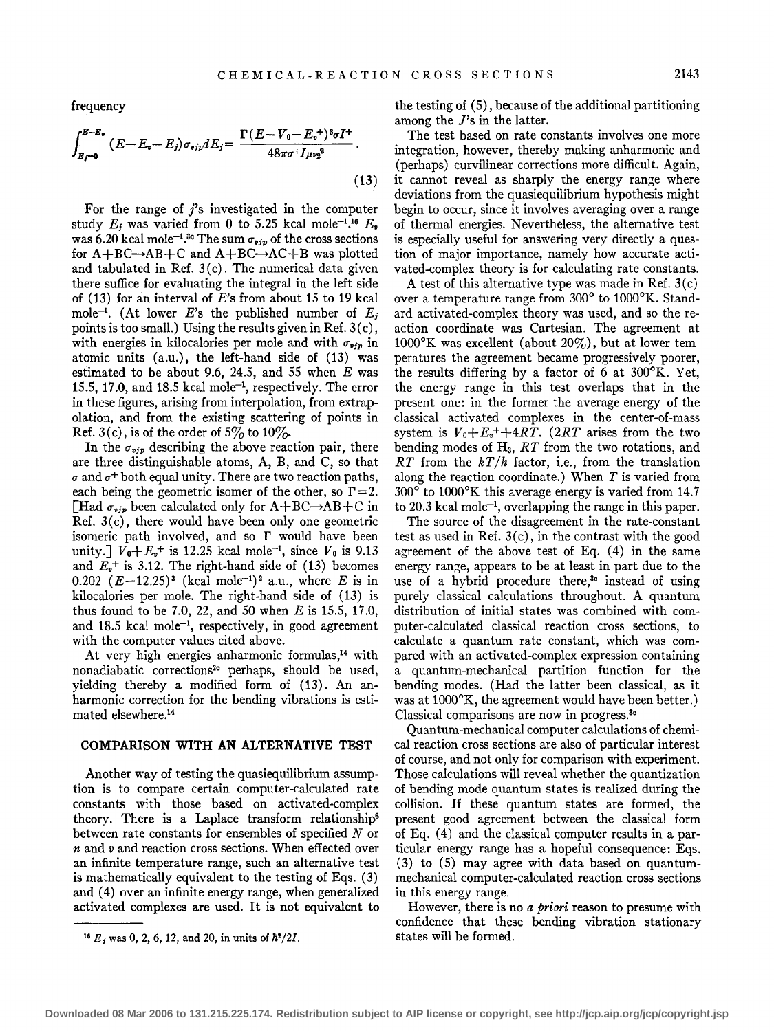frequency

$$
\int_{E_f=0}^{E-E_{\bullet}} (E - E_{\bullet} - E_j) \sigma_{vjp} dE_j = \frac{\Gamma(E - V_0 - E_{\bullet}^+)^3 \sigma I^+}{48\pi \sigma^+ I_{\mu\nu_2}^2}.
$$
\n(13)

For the range of  $j$ 's investigated in the computer study  $E_j$  was varied from 0 to 5.25 kcal mole<sup>-1.16</sup>  $E_{\bullet}$ was 6.20 kcal mole<sup>-1</sup>.<sup>3</sup> The sum  $\sigma_{\textbf{vjp}}$  of the cross sections for  $A + BC \rightarrow AB + C$  and  $A + BC \rightarrow AC + B$  was plotted and tabulated in Ref.  $3(c)$ . The numerical data given there suffice for evaluating the integral in the left side of (13) for an interval of *E's* from about 15 to 19 kcal mole<sup>-1</sup>. (At lower E's the published number of  $E_i$ points is too small.) Using the results given in Ref.  $3(c)$ , with energies in kilocalories per mole and with  $\sigma_{\text{vir}}$  in atomic units (a.u.), the left-hand side of (13) was estimated to be about 9.6, 24.5, and 55 when *E* was 15.5, 17.0, and 18.5 kcal mole<sup> $-1$ </sup>, respectively. The error in these figures, arising from interpolation, from extrapolation, and from the existing scattering of points in Ref. 3(c), is of the order of 5% to 10%.

In the  $\sigma_{\text{vjp}}$  describing the above reaction pair, there are three distinguishable atoms, A, B, and C, so that  $\sigma$  and  $\sigma^+$  both equal unity. There are two reaction paths, each being the geometric isomer of the other, so  $\Gamma = 2$ . [Had  $\sigma_{\nu j p}$  been calculated only for A+BC $\rightarrow$ AB+C in Ref.  $3(c)$ , there would have been only one geometric isomeric path involved, and so  $\Gamma$  would have been unity.]  $V_0 + E_r^+$  is 12.25 kcal mole<sup>-1</sup>, since  $V_0$  is 9.13 and  $E_r^+$  is 3.12. The right-hand side of (13) becomes 0.202  $(E-12.25)^3$  (kcal mole<sup>-1</sup>)<sup>2</sup> a.u., where *E* is in kilocalories per mole. The right-hand side of (13) is thus found to be 7.0, 22, and 50 when *E* is 15.5, 17.0, and 18.5 kcal mole-1, respectively, in good agreement with the computer values cited above.

At very high energies anharmonic formulas,<sup>14</sup> with nonadiabatic corrections<sup>2</sup> perhaps, should be used, yielding thereby a modified form of (13). An anharmonic correction for the bending vibrations is estimated elsewhere.14

#### **COMPARISON WITH AN ALTERNATIVE TEST**

Another way of testing the quasiequilibrium assumption is to compare certain computer-calculated rate constants with those based on activated-complex theory. There is a Laplace transform relationship<sup>6</sup> between rate constants for ensembles of specified  $N$  or *n* and *v* and reaction cross sections. When effected over an infinite temperature range, such an alternative test is mathematically equivalent to the testing of Eqs. ( 3) and (4) over an infinite energy range, when generalized activated complexes are used. It is not equivalent to the testing of ( 5), because of the additional partitioning among the J's in the latter.

The test based on rate constants involves one more integration, however, thereby making anharmonic and (perhaps) curvilinear corrections more difficult. Again, it cannot reveal as sharply the energy range where deviations from the quasiequilibrium hypothesis might begin to occur, since it involves averaging over a range of thermal energies. Nevertheless, the alternative test is especially useful for answering very directly a question of major importance, namely how accurate activated-complex theory is for calculating rate constants.

A test of this alternative type was made in Ref. 3(c) over a temperature range from 300° to 1000°K. Standard activated-complex theory was used, and so the reaction coordinate was Cartesian. The agreement at  $1000^{\circ}$ K was excellent (about 20%), but at lower temperatures the agreement became progressively poorer, the results differing by a factor of 6 at 300°K. Yet, the energy range in this test overlaps that in the present one: in the former the average energy of the classical activated complexes in the center-of-mass system is  $V_0 + E_t^+ + 4RT$ . (2RT arises from the two bending modes of  $H_3$ ,  $RT$  from the two rotations, and RT from the  $kT/h$  factor, i.e., from the translation along the reaction coordinate.) When *T* is varied from 300° to 1000°K this average energy is varied from 14.7 to 20.3 kcal mole-1, overlapping the range in this paper.

The source of the disagreement in the rate-constant test as used in Ref. 3(c), in the contrast with the good agreement of the above test of Eq.  $(4)$  in the same energy range, appears to be at least in part due to the use of a hybrid procedure there,<sup>3</sup> instead of using purely classical calculations throughout. A quantum distribution of initial states was combined with computer-calculated classical reaction cross sections, to calculate a quantum rate constant, which was compared with an activated-complex expression containing a quantum-mechanical partition function for the bending modes. (Had the latter been classical, as it was at 1000°K, the agreement would have been better.) Classical comparisons are now in progress.8•

Quantum-mechanical computer calculations of chemical reaction cross sections are also of particular interest of course, and not only for comparison with experiment. Those calculations will reveal whether the quantization of bending mode quantum states is realized during the collision. If these quantum states are formed, the present good agreement between the classical form of Eq. ( 4) and the classical computer results in a particular energy range has a hopeful consequence: Eqs. (3) to (5) may agree with data based on quantummechanical computer-calculated reaction cross sections in this energy range.

However, there is no *a priori* reason to presume with confidence that these bending vibration stationary states will be formed.

<sup>&</sup>lt;sup>16</sup>  $E_j$  was 0, 2, 6, 12, and 20, in units of  $\hbar^2/2I$ .